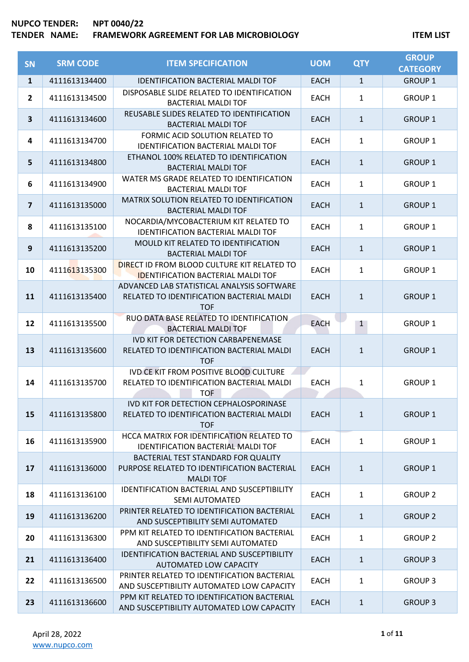| SN                      | <b>SRM CODE</b> | <b>ITEM SPECIFICATION</b>                                                                              | <b>UOM</b>  | <b>QTY</b>   | <b>GROUP</b><br><b>CATEGORY</b> |
|-------------------------|-----------------|--------------------------------------------------------------------------------------------------------|-------------|--------------|---------------------------------|
| $\mathbf{1}$            | 4111613134400   | <b>IDENTIFICATION BACTERIAL MALDI TOF</b>                                                              | <b>EACH</b> | $\mathbf{1}$ | <b>GROUP 1</b>                  |
| $\overline{2}$          | 4111613134500   | DISPOSABLE SLIDE RELATED TO IDENTIFICATION<br><b>BACTERIAL MALDI TOF</b>                               | <b>EACH</b> | $\mathbf{1}$ | <b>GROUP 1</b>                  |
| $\overline{\mathbf{3}}$ | 4111613134600   | REUSABLE SLIDES RELATED TO IDENTIFICATION<br><b>BACTERIAL MALDI TOF</b>                                | <b>EACH</b> | $\mathbf{1}$ | <b>GROUP 1</b>                  |
| 4                       | 4111613134700   | FORMIC ACID SOLUTION RELATED TO<br><b>IDENTIFICATION BACTERIAL MALDI TOF</b>                           | <b>EACH</b> | $\mathbf{1}$ | <b>GROUP 1</b>                  |
| 5                       | 4111613134800   | ETHANOL 100% RELATED TO IDENTIFICATION<br><b>BACTERIAL MALDI TOF</b>                                   | <b>EACH</b> | $\mathbf{1}$ | <b>GROUP 1</b>                  |
| 6                       | 4111613134900   | WATER MS GRADE RELATED TO IDENTIFICATION<br><b>BACTERIAL MALDI TOF</b>                                 | <b>EACH</b> | $\mathbf{1}$ | <b>GROUP 1</b>                  |
| $\overline{\mathbf{z}}$ | 4111613135000   | MATRIX SOLUTION RELATED TO IDENTIFICATION<br><b>BACTERIAL MALDI TOF</b>                                | <b>EACH</b> | $\mathbf{1}$ | <b>GROUP 1</b>                  |
| 8                       | 4111613135100   | NOCARDIA/MYCOBACTERIUM KIT RELATED TO<br><b>IDENTIFICATION BACTERIAL MALDI TOF</b>                     | <b>EACH</b> | $\mathbf{1}$ | <b>GROUP 1</b>                  |
| $\boldsymbol{9}$        | 4111613135200   | MOULD KIT RELATED TO IDENTIFICATION<br><b>BACTERIAL MALDI TOF</b>                                      | <b>EACH</b> | $\mathbf{1}$ | <b>GROUP 1</b>                  |
| 10                      | 4111613135300   | DIRECT ID FROM BLOOD CULTURE KIT RELATED TO<br><b>IDENTIFICATION BACTERIAL MALDI TOF</b>               | <b>EACH</b> | $\mathbf{1}$ | <b>GROUP 1</b>                  |
| 11                      | 4111613135400   | ADVANCED LAB STATISTICAL ANALYSIS SOFTWARE<br>RELATED TO IDENTIFICATION BACTERIAL MALDI<br><b>TOF</b>  | <b>EACH</b> | $\mathbf{1}$ | <b>GROUP 1</b>                  |
| 12                      | 4111613135500   | RUO DATA BASE RELATED TO IDENTIFICATION<br><b>BACTERIAL MALDI TOF</b>                                  | <b>EACH</b> | $\mathbf{1}$ | <b>GROUP 1</b>                  |
| 13                      | 4111613135600   | <b>IVD KIT FOR DETECTION CARBAPENEMASE</b><br>RELATED TO IDENTIFICATION BACTERIAL MALDI<br><b>TOF</b>  | <b>EACH</b> | $\mathbf{1}$ | <b>GROUP 1</b>                  |
| 14                      | 4111613135700   | IVD CE KIT FROM POSITIVE BLOOD CULTURE<br>RELATED TO IDENTIFICATION BACTERIAL MALDI<br><b>TOF</b>      | <b>EACH</b> | 1            | <b>GROUP 1</b>                  |
| 15                      | 4111613135800   | IVD KIT FOR DETECTION CEPHALOSPORINASE<br>RELATED TO IDENTIFICATION BACTERIAL MALDI<br><b>TOF</b>      | <b>EACH</b> | $\mathbf{1}$ | <b>GROUP 1</b>                  |
| 16                      | 4111613135900   | HCCA MATRIX FOR IDENTIFICATION RELATED TO<br>IDENTIFICATION BACTERIAL MALDI TOF                        | <b>EACH</b> | $\mathbf{1}$ | <b>GROUP 1</b>                  |
| 17                      | 4111613136000   | BACTERIAL TEST STANDARD FOR QUALITY<br>PURPOSE RELATED TO IDENTIFICATION BACTERIAL<br><b>MALDI TOF</b> | <b>EACH</b> | $\mathbf{1}$ | <b>GROUP 1</b>                  |
| 18                      | 4111613136100   | IDENTIFICATION BACTERIAL AND SUSCEPTIBILITY<br><b>SEMI AUTOMATED</b>                                   | <b>EACH</b> | $\mathbf{1}$ | <b>GROUP 2</b>                  |
| 19                      | 4111613136200   | PRINTER RELATED TO IDENTIFICATION BACTERIAL<br>AND SUSCEPTIBILITY SEMI AUTOMATED                       | <b>EACH</b> | $\mathbf{1}$ | <b>GROUP 2</b>                  |
| 20                      | 4111613136300   | PPM KIT RELATED TO IDENTIFICATION BACTERIAL<br>AND SUSCEPTIBILITY SEMI AUTOMATED                       | <b>EACH</b> | $\mathbf{1}$ | <b>GROUP 2</b>                  |
| 21                      | 4111613136400   | <b>IDENTIFICATION BACTERIAL AND SUSCEPTIBILITY</b><br>AUTOMATED LOW CAPACITY                           | <b>EACH</b> | $\mathbf{1}$ | <b>GROUP 3</b>                  |
| 22                      | 4111613136500   | PRINTER RELATED TO IDENTIFICATION BACTERIAL<br>AND SUSCEPTIBILITY AUTOMATED LOW CAPACITY               | <b>EACH</b> | $\mathbf{1}$ | <b>GROUP 3</b>                  |
| 23                      | 4111613136600   | PPM KIT RELATED TO IDENTIFICATION BACTERIAL<br>AND SUSCEPTIBILITY AUTOMATED LOW CAPACITY               | <b>EACH</b> | $\mathbf{1}$ | <b>GROUP 3</b>                  |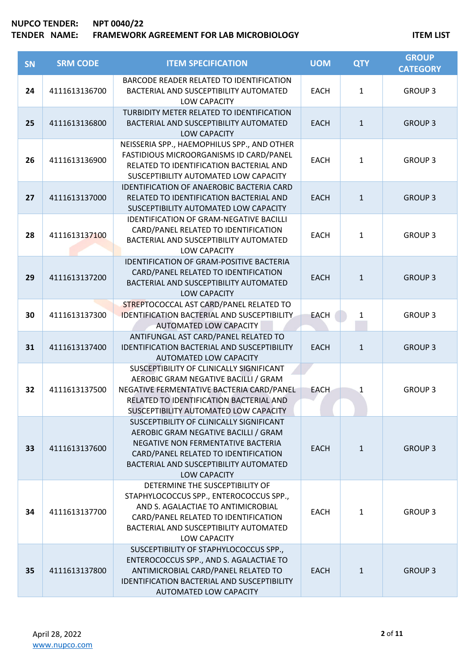| SN | <b>SRM CODE</b> | <b>ITEM SPECIFICATION</b>                                                                                                                                                                                                | <b>UOM</b>  | <b>QTY</b>   | <b>GROUP</b><br><b>CATEGORY</b> |
|----|-----------------|--------------------------------------------------------------------------------------------------------------------------------------------------------------------------------------------------------------------------|-------------|--------------|---------------------------------|
| 24 | 4111613136700   | BARCODE READER RELATED TO IDENTIFICATION<br>BACTERIAL AND SUSCEPTIBILITY AUTOMATED<br>LOW CAPACITY                                                                                                                       | <b>EACH</b> | $\mathbf{1}$ | <b>GROUP 3</b>                  |
| 25 | 4111613136800   | TURBIDITY METER RELATED TO IDENTIFICATION<br>BACTERIAL AND SUSCEPTIBILITY AUTOMATED<br><b>LOW CAPACITY</b>                                                                                                               | <b>EACH</b> | $\mathbf{1}$ | <b>GROUP 3</b>                  |
| 26 | 4111613136900   | NEISSERIA SPP., HAEMOPHILUS SPP., AND OTHER<br>FASTIDIOUS MICROORGANISMS ID CARD/PANEL<br>RELATED TO IDENTIFICATION BACTERIAL AND<br>SUSCEPTIBILITY AUTOMATED LOW CAPACITY                                               | <b>EACH</b> | $\mathbf{1}$ | <b>GROUP 3</b>                  |
| 27 | 4111613137000   | IDENTIFICATION OF ANAEROBIC BACTERIA CARD<br>RELATED TO IDENTIFICATION BACTERIAL AND<br>SUSCEPTIBILITY AUTOMATED LOW CAPACITY                                                                                            | <b>EACH</b> | $\mathbf{1}$ | <b>GROUP 3</b>                  |
| 28 | 4111613137100   | <b>IDENTIFICATION OF GRAM-NEGATIVE BACILLI</b><br>CARD/PANEL RELATED TO IDENTIFICATION<br>BACTERIAL AND SUSCEPTIBILITY AUTOMATED<br>LOW CAPACITY                                                                         | <b>EACH</b> | $\mathbf{1}$ | <b>GROUP 3</b>                  |
| 29 | 4111613137200   | <b>IDENTIFICATION OF GRAM-POSITIVE BACTERIA</b><br>CARD/PANEL RELATED TO IDENTIFICATION<br>BACTERIAL AND SUSCEPTIBILITY AUTOMATED<br><b>LOW CAPACITY</b>                                                                 | <b>EACH</b> | $\mathbf{1}$ | <b>GROUP 3</b>                  |
| 30 | 4111613137300   | STREPTOCOCCAL AST CARD/PANEL RELATED TO<br><b>IDENTIFICATION BACTERIAL AND SUSCEPTIBILITY</b><br><b>AUTOMATED LOW CAPACITY</b>                                                                                           | <b>EACH</b> | $\mathbf{1}$ | <b>GROUP 3</b>                  |
| 31 | 4111613137400   | ANTIFUNGAL AST CARD/PANEL RELATED TO<br>IDENTIFICATION BACTERIAL AND SUSCEPTIBILITY<br>AUTOMATED LOW CAPACITY                                                                                                            | <b>EACH</b> | $\mathbf{1}$ | <b>GROUP 3</b>                  |
| 32 | 4111613137500   | SUSCEPTIBILITY OF CLINICALLY SIGNIFICANT<br>AEROBIC GRAM NEGATIVE BACILLI / GRAM<br>NEGATIVE FERMENTATIVE BACTERIA CARD/PANEL<br>RELATED TO IDENTIFICATION BACTERIAL AND<br>SUSCEPTIBILITY AUTOMATED LOW CAPACITY        | <b>EACH</b> | 1            | <b>GROUP 3</b>                  |
| 33 | 4111613137600   | SUSCEPTIBILITY OF CLINICALLY SIGNIFICANT<br>AEROBIC GRAM NEGATIVE BACILLI / GRAM<br>NEGATIVE NON FERMENTATIVE BACTERIA<br>CARD/PANEL RELATED TO IDENTIFICATION<br>BACTERIAL AND SUSCEPTIBILITY AUTOMATED<br>LOW CAPACITY | <b>EACH</b> | $\mathbf{1}$ | <b>GROUP 3</b>                  |
| 34 | 4111613137700   | DETERMINE THE SUSCEPTIBILITY OF<br>STAPHYLOCOCCUS SPP., ENTEROCOCCUS SPP.,<br>AND S. AGALACTIAE TO ANTIMICROBIAL<br>CARD/PANEL RELATED TO IDENTIFICATION<br>BACTERIAL AND SUSCEPTIBILITY AUTOMATED<br>LOW CAPACITY       | <b>EACH</b> | 1            | <b>GROUP 3</b>                  |
| 35 | 4111613137800   | SUSCEPTIBILITY OF STAPHYLOCOCCUS SPP.,<br>ENTEROCOCCUS SPP., AND S. AGALACTIAE TO<br>ANTIMICROBIAL CARD/PANEL RELATED TO<br>IDENTIFICATION BACTERIAL AND SUSCEPTIBILITY<br>AUTOMATED LOW CAPACITY                        | <b>EACH</b> | $\mathbf{1}$ | <b>GROUP 3</b>                  |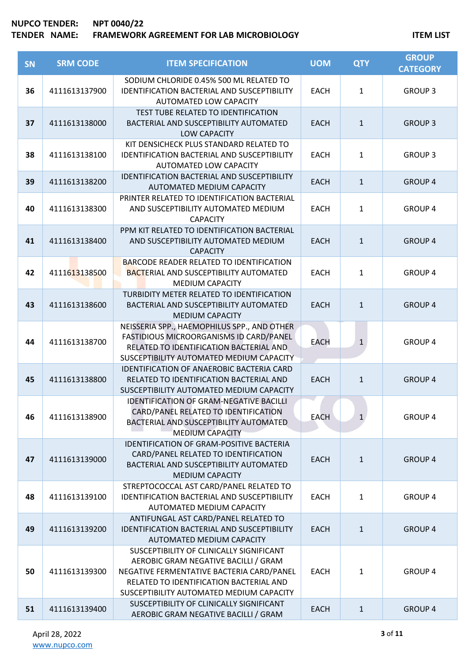| SN | <b>SRM CODE</b> | <b>ITEM SPECIFICATION</b>                                                                                                                                                                                            | <b>UOM</b>  | <b>QTY</b>   | <b>GROUP</b><br><b>CATEGORY</b> |
|----|-----------------|----------------------------------------------------------------------------------------------------------------------------------------------------------------------------------------------------------------------|-------------|--------------|---------------------------------|
| 36 | 4111613137900   | SODIUM CHLORIDE 0.45% 500 ML RELATED TO<br><b>IDENTIFICATION BACTERIAL AND SUSCEPTIBILITY</b><br><b>AUTOMATED LOW CAPACITY</b>                                                                                       | <b>EACH</b> | $\mathbf{1}$ | <b>GROUP 3</b>                  |
| 37 | 4111613138000   | TEST TUBE RELATED TO IDENTIFICATION<br>BACTERIAL AND SUSCEPTIBILITY AUTOMATED<br><b>LOW CAPACITY</b>                                                                                                                 | <b>EACH</b> | $\mathbf{1}$ | <b>GROUP 3</b>                  |
| 38 | 4111613138100   | KIT DENSICHECK PLUS STANDARD RELATED TO<br><b>IDENTIFICATION BACTERIAL AND SUSCEPTIBILITY</b><br>AUTOMATED LOW CAPACITY                                                                                              | <b>EACH</b> | $\mathbf{1}$ | <b>GROUP 3</b>                  |
| 39 | 4111613138200   | <b>IDENTIFICATION BACTERIAL AND SUSCEPTIBILITY</b><br>AUTOMATED MEDIUM CAPACITY                                                                                                                                      | <b>EACH</b> | $\mathbf{1}$ | <b>GROUP 4</b>                  |
| 40 | 4111613138300   | PRINTER RELATED TO IDENTIFICATION BACTERIAL<br>AND SUSCEPTIBILITY AUTOMATED MEDIUM<br><b>CAPACITY</b>                                                                                                                | <b>EACH</b> | $\mathbf{1}$ | <b>GROUP 4</b>                  |
| 41 | 4111613138400   | PPM KIT RELATED TO IDENTIFICATION BACTERIAL<br>AND SUSCEPTIBILITY AUTOMATED MEDIUM<br><b>CAPACITY</b>                                                                                                                | <b>EACH</b> | $\mathbf{1}$ | <b>GROUP 4</b>                  |
| 42 | 4111613138500   | <b>BARCODE READER RELATED TO IDENTIFICATION</b><br><b>BACTERIAL AND SUSCEPTIBILITY AUTOMATED</b><br><b>MEDIUM CAPACITY</b>                                                                                           | <b>EACH</b> | $\mathbf{1}$ | <b>GROUP 4</b>                  |
| 43 | 4111613138600   | TURBIDITY METER RELATED TO IDENTIFICATION<br>BACTERIAL AND SUSCEPTIBILITY AUTOMATED<br><b>MEDIUM CAPACITY</b>                                                                                                        | <b>EACH</b> | $\mathbf{1}$ | <b>GROUP 4</b>                  |
| 44 | 4111613138700   | NEISSERIA SPP., HAEMOPHILUS SPP., AND OTHER<br>FASTIDIOUS MICROORGANISMS ID CARD/PANEL<br>RELATED TO IDENTIFICATION BACTERIAL AND<br>SUSCEPTIBILITY AUTOMATED MEDIUM CAPACITY                                        | <b>EACH</b> | $\mathbf{1}$ | <b>GROUP 4</b>                  |
| 45 | 4111613138800   | <b>IDENTIFICATION OF ANAEROBIC BACTERIA CARD</b><br>RELATED TO IDENTIFICATION BACTERIAL AND<br>SUSCEPTIBILITY AUTOMATED MEDIUM CAPACITY                                                                              | <b>EACH</b> | $\mathbf{1}$ | <b>GROUP 4</b>                  |
| 46 | 4111613138900   | <b>IDENTIFICATION OF GRAM-NEGATIVE BACILLI</b><br>CARD/PANEL RELATED TO IDENTIFICATION<br>BACTERIAL AND SUSCEPTIBILITY AUTOMATED<br><b>MEDIUM CAPACITY</b>                                                           | <b>EACH</b> | $\mathbf{1}$ | <b>GROUP 4</b>                  |
| 47 | 4111613139000   | <b>IDENTIFICATION OF GRAM-POSITIVE BACTERIA</b><br>CARD/PANEL RELATED TO IDENTIFICATION<br>BACTERIAL AND SUSCEPTIBILITY AUTOMATED<br><b>MEDIUM CAPACITY</b>                                                          | <b>EACH</b> | $\mathbf{1}$ | <b>GROUP 4</b>                  |
| 48 | 4111613139100   | STREPTOCOCCAL AST CARD/PANEL RELATED TO<br><b>IDENTIFICATION BACTERIAL AND SUSCEPTIBILITY</b><br>AUTOMATED MEDIUM CAPACITY                                                                                           | <b>EACH</b> | $\mathbf{1}$ | <b>GROUP 4</b>                  |
| 49 | 4111613139200   | ANTIFUNGAL AST CARD/PANEL RELATED TO<br><b>IDENTIFICATION BACTERIAL AND SUSCEPTIBILITY</b><br>AUTOMATED MEDIUM CAPACITY                                                                                              | <b>EACH</b> | $\mathbf{1}$ | <b>GROUP 4</b>                  |
| 50 | 4111613139300   | SUSCEPTIBILITY OF CLINICALLY SIGNIFICANT<br>AEROBIC GRAM NEGATIVE BACILLI / GRAM<br>NEGATIVE FERMENTATIVE BACTERIA CARD/PANEL<br>RELATED TO IDENTIFICATION BACTERIAL AND<br>SUSCEPTIBILITY AUTOMATED MEDIUM CAPACITY | <b>EACH</b> | 1            | <b>GROUP 4</b>                  |
| 51 | 4111613139400   | SUSCEPTIBILITY OF CLINICALLY SIGNIFICANT<br>AEROBIC GRAM NEGATIVE BACILLI / GRAM                                                                                                                                     | <b>EACH</b> | $\mathbf{1}$ | <b>GROUP 4</b>                  |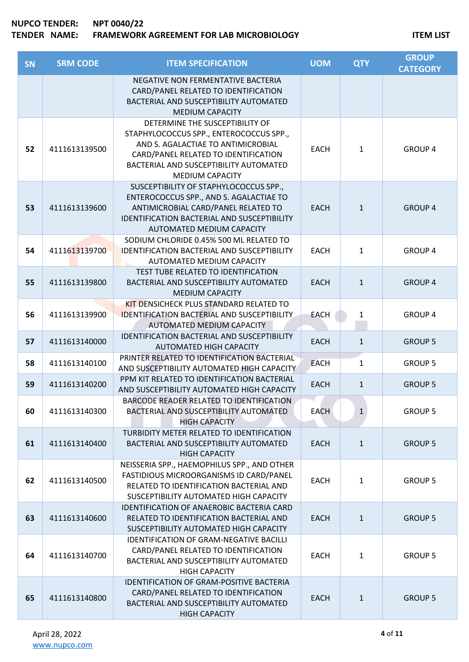| <b>SN</b> | <b>SRM CODE</b> | <b>ITEM SPECIFICATION</b>                                                                                                                                                                                                    | <b>UOM</b>  | <b>QTY</b>   | <b>GROUP</b><br><b>CATEGORY</b> |
|-----------|-----------------|------------------------------------------------------------------------------------------------------------------------------------------------------------------------------------------------------------------------------|-------------|--------------|---------------------------------|
|           |                 | NEGATIVE NON FERMENTATIVE BACTERIA<br>CARD/PANEL RELATED TO IDENTIFICATION<br>BACTERIAL AND SUSCEPTIBILITY AUTOMATED                                                                                                         |             |              |                                 |
|           |                 | <b>MEDIUM CAPACITY</b>                                                                                                                                                                                                       |             |              |                                 |
| 52        | 4111613139500   | DETERMINE THE SUSCEPTIBILITY OF<br>STAPHYLOCOCCUS SPP., ENTEROCOCCUS SPP.,<br>AND S. AGALACTIAE TO ANTIMICROBIAL<br>CARD/PANEL RELATED TO IDENTIFICATION<br>BACTERIAL AND SUSCEPTIBILITY AUTOMATED<br><b>MEDIUM CAPACITY</b> | <b>EACH</b> | 1            | <b>GROUP 4</b>                  |
| 53        | 4111613139600   | SUSCEPTIBILITY OF STAPHYLOCOCCUS SPP.,<br>ENTEROCOCCUS SPP., AND S. AGALACTIAE TO<br>ANTIMICROBIAL CARD/PANEL RELATED TO<br><b>IDENTIFICATION BACTERIAL AND SUSCEPTIBILITY</b><br>AUTOMATED MEDIUM CAPACITY                  | <b>EACH</b> | $\mathbf{1}$ | <b>GROUP 4</b>                  |
| 54        | 4111613139700   | SODIUM CHLORIDE 0.45% 500 ML RELATED TO<br><b>IDENTIFICATION BACTERIAL AND SUSCEPTIBILITY</b><br>AUTOMATED MEDIUM CAPACITY                                                                                                   | <b>EACH</b> | 1            | <b>GROUP 4</b>                  |
| 55        | 4111613139800   | TEST TUBE RELATED TO IDENTIFICATION<br>BACTERIAL AND SUSCEPTIBILITY AUTOMATED<br><b>MEDIUM CAPACITY</b>                                                                                                                      | <b>EACH</b> | $\mathbf{1}$ | <b>GROUP 4</b>                  |
| 56        | 4111613139900   | KIT DENSICHECK PLUS STANDARD RELATED TO<br><b>IDENTIFICATION BACTERIAL AND SUSCEPTIBILITY</b><br>AUTOMATED MEDIUM CAPACITY                                                                                                   | <b>EACH</b> | $\mathbf{1}$ | <b>GROUP 4</b>                  |
| 57        | 4111613140000   | <b>IDENTIFICATION BACTERIAL AND SUSCEPTIBILITY</b><br>AUTOMATED HIGH CAPACITY                                                                                                                                                | <b>EACH</b> | $\mathbf{1}$ | <b>GROUP 5</b>                  |
| 58        | 4111613140100   | PRINTER RELATED TO IDENTIFICATION BACTERIAL<br>AND SUSCEPTIBILITY AUTOMATED HIGH CAPACITY                                                                                                                                    | <b>EACH</b> | 1            | <b>GROUP 5</b>                  |
| 59        | 4111613140200   | PPM KIT RELATED TO IDENTIFICATION BACTERIAL<br>AND SUSCEPTIBILITY AUTOMATED HIGH CAPACITY                                                                                                                                    | <b>EACH</b> | $\mathbf{1}$ | <b>GROUP 5</b>                  |
| 60        | 4111613140300   | BARCODE READER RELATED TO IDENTIFICATION<br>BACTERIAL AND SUSCEPTIBILITY AUTOMATED<br><b>HIGH CAPACITY</b>                                                                                                                   | <b>EACH</b> | $\mathbf{1}$ | <b>GROUP 5</b>                  |
| 61        | 4111613140400   | TURBIDITY METER RELATED TO IDENTIFICATION<br>BACTERIAL AND SUSCEPTIBILITY AUTOMATED<br><b>HIGH CAPACITY</b>                                                                                                                  | <b>EACH</b> | $\mathbf{1}$ | <b>GROUP 5</b>                  |
| 62        | 4111613140500   | NEISSERIA SPP., HAEMOPHILUS SPP., AND OTHER<br>FASTIDIOUS MICROORGANISMS ID CARD/PANEL<br>RELATED TO IDENTIFICATION BACTERIAL AND<br>SUSCEPTIBILITY AUTOMATED HIGH CAPACITY                                                  | <b>EACH</b> | $\mathbf{1}$ | <b>GROUP 5</b>                  |
| 63        | 4111613140600   | <b>IDENTIFICATION OF ANAEROBIC BACTERIA CARD</b><br>RELATED TO IDENTIFICATION BACTERIAL AND<br>SUSCEPTIBILITY AUTOMATED HIGH CAPACITY                                                                                        | <b>EACH</b> | $\mathbf{1}$ | <b>GROUP 5</b>                  |
| 64        | 4111613140700   | <b>IDENTIFICATION OF GRAM-NEGATIVE BACILLI</b><br>CARD/PANEL RELATED TO IDENTIFICATION<br>BACTERIAL AND SUSCEPTIBILITY AUTOMATED<br><b>HIGH CAPACITY</b>                                                                     | <b>EACH</b> | 1            | <b>GROUP 5</b>                  |
| 65        | 4111613140800   | IDENTIFICATION OF GRAM-POSITIVE BACTERIA<br>CARD/PANEL RELATED TO IDENTIFICATION<br>BACTERIAL AND SUSCEPTIBILITY AUTOMATED<br><b>HIGH CAPACITY</b>                                                                           | <b>EACH</b> | $\mathbf{1}$ | <b>GROUP 5</b>                  |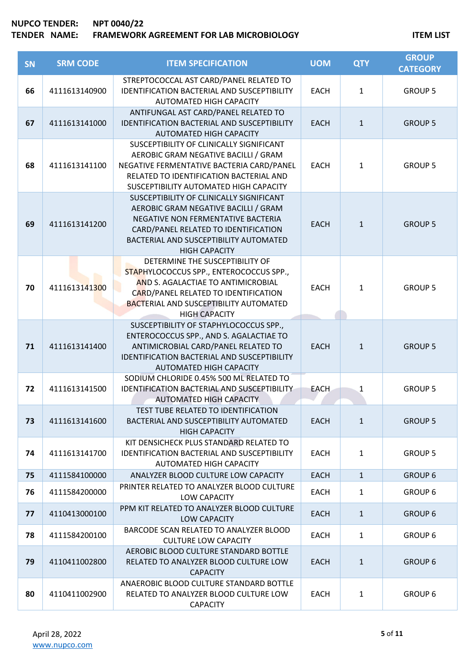| <b>SN</b> | <b>SRM CODE</b> | <b>ITEM SPECIFICATION</b>                                                                                                                                                                                                         | <b>UOM</b>  | <b>QTY</b>   | <b>GROUP</b><br><b>CATEGORY</b> |
|-----------|-----------------|-----------------------------------------------------------------------------------------------------------------------------------------------------------------------------------------------------------------------------------|-------------|--------------|---------------------------------|
| 66        | 4111613140900   | STREPTOCOCCAL AST CARD/PANEL RELATED TO<br><b>IDENTIFICATION BACTERIAL AND SUSCEPTIBILITY</b><br><b>AUTOMATED HIGH CAPACITY</b>                                                                                                   | <b>EACH</b> | $\mathbf{1}$ | <b>GROUP 5</b>                  |
| 67        | 4111613141000   | ANTIFUNGAL AST CARD/PANEL RELATED TO<br><b>IDENTIFICATION BACTERIAL AND SUSCEPTIBILITY</b><br><b>AUTOMATED HIGH CAPACITY</b>                                                                                                      | <b>EACH</b> | $\mathbf{1}$ | <b>GROUP 5</b>                  |
| 68        | 4111613141100   | SUSCEPTIBILITY OF CLINICALLY SIGNIFICANT<br>AEROBIC GRAM NEGATIVE BACILLI / GRAM<br>NEGATIVE FERMENTATIVE BACTERIA CARD/PANEL<br>RELATED TO IDENTIFICATION BACTERIAL AND<br>SUSCEPTIBILITY AUTOMATED HIGH CAPACITY                | <b>EACH</b> | $\mathbf{1}$ | <b>GROUP 5</b>                  |
| 69        | 4111613141200   | SUSCEPTIBILITY OF CLINICALLY SIGNIFICANT<br>AEROBIC GRAM NEGATIVE BACILLI / GRAM<br>NEGATIVE NON FERMENTATIVE BACTERIA<br>CARD/PANEL RELATED TO IDENTIFICATION<br>BACTERIAL AND SUSCEPTIBILITY AUTOMATED<br><b>HIGH CAPACITY</b>  | <b>EACH</b> | $\mathbf{1}$ | <b>GROUP 5</b>                  |
| 70        | 4111613141300   | DETERMINE THE SUSCEPTIBILITY OF<br>STAPHYLOCOCCUS SPP., ENTEROCOCCUS SPP.,<br>AND S. AGALACTIAE TO ANTIMICROBIAL<br>CARD/PANEL RELATED TO IDENTIFICATION<br><b>BACTERIAL AND SUSCEPTIBILITY AUTOMATED</b><br><b>HIGH CAPACITY</b> | <b>EACH</b> | $\mathbf{1}$ | <b>GROUP 5</b>                  |
| 71        | 4111613141400   | SUSCEPTIBILITY OF STAPHYLOCOCCUS SPP.,<br>ENTEROCOCCUS SPP., AND S. AGALACTIAE TO<br>ANTIMICROBIAL CARD/PANEL RELATED TO<br><b>IDENTIFICATION BACTERIAL AND SUSCEPTIBILITY</b><br>AUTOMATED HIGH CAPACITY                         | <b>EACH</b> | $\mathbf{1}$ | <b>GROUP 5</b>                  |
| 72        | 4111613141500   | SODIUM CHLORIDE 0.45% 500 ML RELATED TO<br><b>IDENTIFICATION BACTERIAL AND SUSCEPTIBILITY</b><br><b>AUTOMATED HIGH CAPACITY</b>                                                                                                   | <b>EACH</b> | 1            | <b>GROUP 5</b>                  |
| 73        | 4111613141600   | TEST TUBE RELATED TO IDENTIFICATION<br>BACTERIAL AND SUSCEPTIBILITY AUTOMATED<br><b>HIGH CAPACITY</b>                                                                                                                             | <b>EACH</b> | $\mathbf{1}$ | <b>GROUP 5</b>                  |
| 74        | 4111613141700   | KIT DENSICHECK PLUS STANDARD RELATED TO<br><b>IDENTIFICATION BACTERIAL AND SUSCEPTIBILITY</b><br><b>AUTOMATED HIGH CAPACITY</b>                                                                                                   | <b>EACH</b> | $\mathbf{1}$ | <b>GROUP 5</b>                  |
| 75        | 4111584100000   | ANALYZER BLOOD CULTURE LOW CAPACITY                                                                                                                                                                                               | <b>EACH</b> | $\mathbf{1}$ | <b>GROUP 6</b>                  |
| 76        | 4111584200000   | PRINTER RELATED TO ANALYZER BLOOD CULTURE<br>LOW CAPACITY                                                                                                                                                                         | <b>EACH</b> | $\mathbf{1}$ | <b>GROUP 6</b>                  |
| 77        | 4110413000100   | PPM KIT RELATED TO ANALYZER BLOOD CULTURE<br>LOW CAPACITY                                                                                                                                                                         | <b>EACH</b> | $\mathbf{1}$ | <b>GROUP 6</b>                  |
| 78        | 4111584200100   | BARCODE SCAN RELATED TO ANALYZER BLOOD<br><b>CULTURE LOW CAPACITY</b>                                                                                                                                                             | <b>EACH</b> | $\mathbf{1}$ | <b>GROUP 6</b>                  |
| 79        | 4110411002800   | AEROBIC BLOOD CULTURE STANDARD BOTTLE<br>RELATED TO ANALYZER BLOOD CULTURE LOW<br><b>CAPACITY</b>                                                                                                                                 | <b>EACH</b> | $\mathbf{1}$ | <b>GROUP 6</b>                  |
| 80        | 4110411002900   | ANAEROBIC BLOOD CULTURE STANDARD BOTTLE<br>RELATED TO ANALYZER BLOOD CULTURE LOW<br><b>CAPACITY</b>                                                                                                                               | <b>EACH</b> | 1            | <b>GROUP 6</b>                  |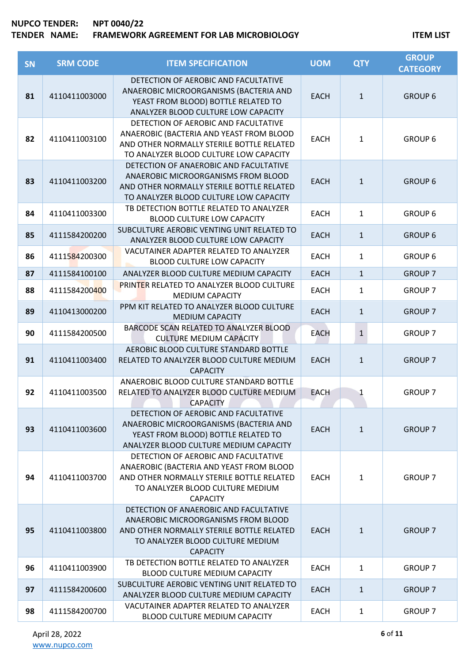| SN | <b>SRM CODE</b> | <b>ITEM SPECIFICATION</b>                                                                                                                                                            | <b>UOM</b>  | <b>QTY</b>   | <b>GROUP</b><br><b>CATEGORY</b> |
|----|-----------------|--------------------------------------------------------------------------------------------------------------------------------------------------------------------------------------|-------------|--------------|---------------------------------|
| 81 | 4110411003000   | DETECTION OF AEROBIC AND FACULTATIVE<br>ANAEROBIC MICROORGANISMS (BACTERIA AND<br>YEAST FROM BLOOD) BOTTLE RELATED TO<br>ANALYZER BLOOD CULTURE LOW CAPACITY                         | <b>EACH</b> | $\mathbf{1}$ | <b>GROUP 6</b>                  |
| 82 | 4110411003100   | DETECTION OF AEROBIC AND FACULTATIVE<br>ANAEROBIC (BACTERIA AND YEAST FROM BLOOD<br>AND OTHER NORMALLY STERILE BOTTLE RELATED<br>TO ANALYZER BLOOD CULTURE LOW CAPACITY              | <b>EACH</b> | 1            | <b>GROUP 6</b>                  |
| 83 | 4110411003200   | DETECTION OF ANAEROBIC AND FACULTATIVE<br>ANAEROBIC MICROORGANISMS FROM BLOOD<br>AND OTHER NORMALLY STERILE BOTTLE RELATED<br>TO ANALYZER BLOOD CULTURE LOW CAPACITY                 | <b>EACH</b> | $\mathbf{1}$ | <b>GROUP 6</b>                  |
| 84 | 4110411003300   | TB DETECTION BOTTLE RELATED TO ANALYZER<br><b>BLOOD CULTURE LOW CAPACITY</b>                                                                                                         | <b>EACH</b> | 1            | <b>GROUP 6</b>                  |
| 85 | 4111584200200   | SUBCULTURE AEROBIC VENTING UNIT RELATED TO<br>ANALYZER BLOOD CULTURE LOW CAPACITY                                                                                                    | <b>EACH</b> | $\mathbf{1}$ | <b>GROUP 6</b>                  |
| 86 | 4111584200300   | VACUTAINER ADAPTER RELATED TO ANALYZER<br><b>BLOOD CULTURE LOW CAPACITY</b>                                                                                                          | <b>EACH</b> | 1            | <b>GROUP 6</b>                  |
| 87 | 4111584100100   | ANALYZER BLOOD CULTURE MEDIUM CAPACITY                                                                                                                                               | <b>EACH</b> | $\mathbf{1}$ | <b>GROUP 7</b>                  |
| 88 | 4111584200400   | PRINTER RELATED TO ANALYZER BLOOD CULTURE<br><b>MEDIUM CAPACITY</b>                                                                                                                  | <b>EACH</b> | 1            | <b>GROUP 7</b>                  |
| 89 | 4110413000200   | PPM KIT RELATED TO ANALYZER BLOOD CULTURE<br><b>MEDIUM CAPACITY</b>                                                                                                                  | <b>EACH</b> | $\mathbf{1}$ | <b>GROUP 7</b>                  |
| 90 | 4111584200500   | BARCODE SCAN RELATED TO ANALYZER BLOOD<br><b>CULTURE MEDIUM CAPACITY</b>                                                                                                             | <b>EACH</b> | $\mathbf{1}$ | <b>GROUP 7</b>                  |
| 91 | 4110411003400   | AEROBIC BLOOD CULTURE STANDARD BOTTLE<br>RELATED TO ANALYZER BLOOD CULTURE MEDIUM<br><b>CAPACITY</b>                                                                                 | <b>EACH</b> | $\mathbf{1}$ | <b>GROUP 7</b>                  |
| 92 | 4110411003500   | ANAEROBIC BLOOD CULTURE STANDARD BOTTLE<br>RELATED TO ANALYZER BLOOD CULTURE MEDIUM<br><b>CAPACITY</b>                                                                               | <b>EACH</b> | 1            | <b>GROUP 7</b>                  |
| 93 | 4110411003600   | DETECTION OF AEROBIC AND FACULTATIVE<br>ANAEROBIC MICROORGANISMS (BACTERIA AND<br>YEAST FROM BLOOD) BOTTLE RELATED TO<br>ANALYZER BLOOD CULTURE MEDIUM CAPACITY                      | <b>EACH</b> | $\mathbf{1}$ | <b>GROUP 7</b>                  |
| 94 | 4110411003700   | DETECTION OF AEROBIC AND FACULTATIVE<br>ANAEROBIC (BACTERIA AND YEAST FROM BLOOD<br>AND OTHER NORMALLY STERILE BOTTLE RELATED<br>TO ANALYZER BLOOD CULTURE MEDIUM<br><b>CAPACITY</b> | <b>EACH</b> | 1            | <b>GROUP 7</b>                  |
| 95 | 4110411003800   | DETECTION OF ANAEROBIC AND FACULTATIVE<br>ANAEROBIC MICROORGANISMS FROM BLOOD<br>AND OTHER NORMALLY STERILE BOTTLE RELATED<br>TO ANALYZER BLOOD CULTURE MEDIUM<br><b>CAPACITY</b>    | <b>EACH</b> | $\mathbf{1}$ | <b>GROUP 7</b>                  |
| 96 | 4110411003900   | TB DETECTION BOTTLE RELATED TO ANALYZER<br>BLOOD CULTURE MEDIUM CAPACITY                                                                                                             | <b>EACH</b> | 1            | <b>GROUP 7</b>                  |
| 97 | 4111584200600   | SUBCULTURE AEROBIC VENTING UNIT RELATED TO<br>ANALYZER BLOOD CULTURE MEDIUM CAPACITY                                                                                                 | <b>EACH</b> | $\mathbf{1}$ | <b>GROUP 7</b>                  |
| 98 | 4111584200700   | VACUTAINER ADAPTER RELATED TO ANALYZER<br>BLOOD CULTURE MEDIUM CAPACITY                                                                                                              | <b>EACH</b> | 1            | <b>GROUP 7</b>                  |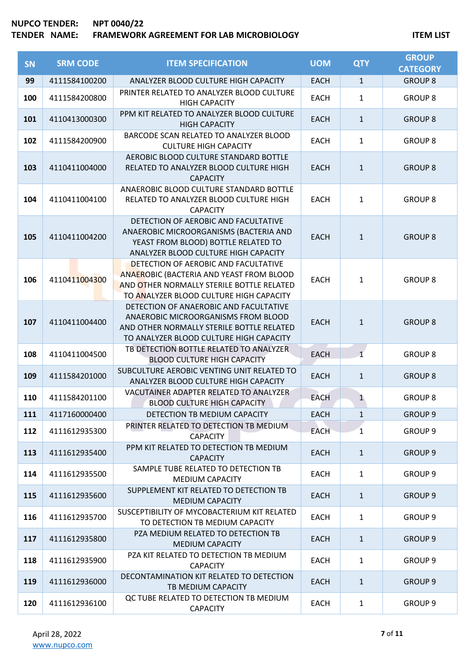| SN  | <b>SRM CODE</b> | <b>ITEM SPECIFICATION</b>                                                                                                                                                | <b>UOM</b>  | <b>QTY</b>   | <b>GROUP</b><br><b>CATEGORY</b> |
|-----|-----------------|--------------------------------------------------------------------------------------------------------------------------------------------------------------------------|-------------|--------------|---------------------------------|
| 99  | 4111584100200   | ANALYZER BLOOD CULTURE HIGH CAPACITY                                                                                                                                     | <b>EACH</b> | $\mathbf{1}$ | <b>GROUP 8</b>                  |
| 100 | 4111584200800   | PRINTER RELATED TO ANALYZER BLOOD CULTURE<br><b>HIGH CAPACITY</b>                                                                                                        | <b>EACH</b> | $\mathbf{1}$ | <b>GROUP 8</b>                  |
| 101 | 4110413000300   | PPM KIT RELATED TO ANALYZER BLOOD CULTURE<br><b>HIGH CAPACITY</b>                                                                                                        | <b>EACH</b> | $\mathbf{1}$ | <b>GROUP 8</b>                  |
| 102 | 4111584200900   | BARCODE SCAN RELATED TO ANALYZER BLOOD<br><b>CULTURE HIGH CAPACITY</b>                                                                                                   | <b>EACH</b> | $\mathbf{1}$ | <b>GROUP 8</b>                  |
| 103 | 4110411004000   | AEROBIC BLOOD CULTURE STANDARD BOTTLE<br>RELATED TO ANALYZER BLOOD CULTURE HIGH<br><b>CAPACITY</b>                                                                       | <b>EACH</b> | $\mathbf{1}$ | <b>GROUP 8</b>                  |
| 104 | 4110411004100   | ANAEROBIC BLOOD CULTURE STANDARD BOTTLE<br>RELATED TO ANALYZER BLOOD CULTURE HIGH<br><b>CAPACITY</b>                                                                     | <b>EACH</b> | $\mathbf{1}$ | <b>GROUP 8</b>                  |
| 105 | 4110411004200   | DETECTION OF AEROBIC AND FACULTATIVE<br>ANAEROBIC MICROORGANISMS (BACTERIA AND<br>YEAST FROM BLOOD) BOTTLE RELATED TO<br>ANALYZER BLOOD CULTURE HIGH CAPACITY            | <b>EACH</b> | $\mathbf{1}$ | <b>GROUP 8</b>                  |
| 106 | 4110411004300   | DETECTION OF AEROBIC AND FACULTATIVE<br>ANAEROBIC (BACTERIA AND YEAST FROM BLOOD<br>AND OTHER NORMALLY STERILE BOTTLE RELATED<br>TO ANALYZER BLOOD CULTURE HIGH CAPACITY | <b>EACH</b> | $\mathbf{1}$ | <b>GROUP 8</b>                  |
| 107 | 4110411004400   | DETECTION OF ANAEROBIC AND FACULTATIVE<br>ANAEROBIC MICROORGANISMS FROM BLOOD<br>AND OTHER NORMALLY STERILE BOTTLE RELATED<br>TO ANALYZER BLOOD CULTURE HIGH CAPACITY    | <b>EACH</b> | $\mathbf{1}$ | <b>GROUP 8</b>                  |
| 108 | 4110411004500   | TB DETECTION BOTTLE RELATED TO ANALYZER<br><b>BLOOD CULTURE HIGH CAPACITY</b>                                                                                            | <b>EACH</b> | $\mathbf{1}$ | <b>GROUP 8</b>                  |
| 109 | 4111584201000   | SUBCULTURE AEROBIC VENTING UNIT RELATED TO<br>ANALYZER BLOOD CULTURE HIGH CAPACITY                                                                                       | <b>EACH</b> | $\mathbf{1}$ | <b>GROUP 8</b>                  |
| 110 | 4111584201100   | VACUTAINER ADAPTER RELATED TO ANALYZER<br><b>BLOOD CULTURE HIGH CAPACITY</b>                                                                                             | <b>EACH</b> | $\mathbf{1}$ | <b>GROUP 8</b>                  |
| 111 | 4117160000400   | DETECTION TB MEDIUM CAPACITY                                                                                                                                             | <b>EACH</b> | 1            | <b>GROUP 9</b>                  |
| 112 | 4111612935300   | PRINTER RELATED TO DETECTION TB MEDIUM.<br><b>CAPACITY</b>                                                                                                               | <b>EACH</b> | 1            | GROUP <sub>9</sub>              |
| 113 | 4111612935400   | PPM KIT RELATED TO DETECTION TB MEDIUM<br><b>CAPACITY</b>                                                                                                                | <b>EACH</b> | $\mathbf{1}$ | <b>GROUP 9</b>                  |
| 114 | 4111612935500   | SAMPLE TUBE RELATED TO DETECTION TB<br><b>MEDIUM CAPACITY</b>                                                                                                            | <b>EACH</b> | $\mathbf{1}$ | <b>GROUP 9</b>                  |
| 115 | 4111612935600   | SUPPLEMENT KIT RELATED TO DETECTION TB<br><b>MEDIUM CAPACITY</b>                                                                                                         | <b>EACH</b> | $\mathbf{1}$ | <b>GROUP 9</b>                  |
| 116 | 4111612935700   | SUSCEPTIBILITY OF MYCOBACTERIUM KIT RELATED<br>TO DETECTION TB MEDIUM CAPACITY                                                                                           | <b>EACH</b> | $\mathbf{1}$ | <b>GROUP 9</b>                  |
| 117 | 4111612935800   | PZA MEDIUM RELATED TO DETECTION TB<br><b>MEDIUM CAPACITY</b>                                                                                                             | <b>EACH</b> | $\mathbf{1}$ | GROUP <sub>9</sub>              |
| 118 | 4111612935900   | PZA KIT RELATED TO DETECTION TB MEDIUM<br><b>CAPACITY</b>                                                                                                                | <b>EACH</b> | $\mathbf{1}$ | <b>GROUP 9</b>                  |
| 119 | 4111612936000   | DECONTAMINATION KIT RELATED TO DETECTION<br>TB MEDIUM CAPACITY                                                                                                           | <b>EACH</b> | $\mathbf{1}$ | <b>GROUP 9</b>                  |
| 120 | 4111612936100   | QC TUBE RELATED TO DETECTION TB MEDIUM<br><b>CAPACITY</b>                                                                                                                | <b>EACH</b> | 1            | <b>GROUP 9</b>                  |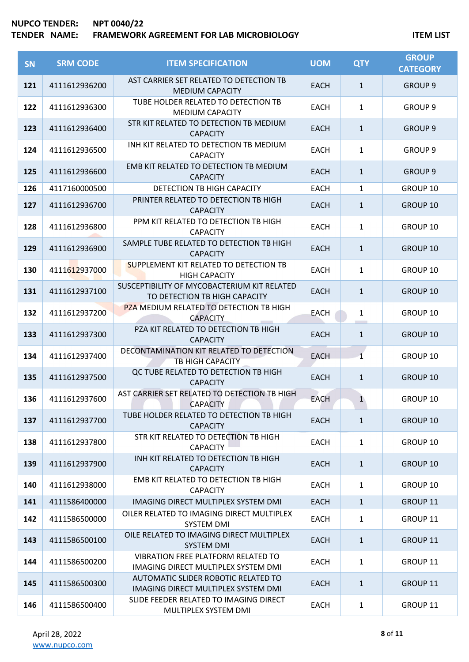| <b>SN</b> | <b>SRM CODE</b> | <b>ITEM SPECIFICATION</b>                                                    | <b>UOM</b>  | <b>QTY</b>     | <b>GROUP</b><br><b>CATEGORY</b> |
|-----------|-----------------|------------------------------------------------------------------------------|-------------|----------------|---------------------------------|
| 121       | 4111612936200   | AST CARRIER SET RELATED TO DETECTION TB<br><b>MEDIUM CAPACITY</b>            | EACH        | $\mathbf{1}$   | <b>GROUP 9</b>                  |
| 122       | 4111612936300   | TUBE HOLDER RELATED TO DETECTION TB<br><b>MEDIUM CAPACITY</b>                | <b>EACH</b> | $\mathbf{1}$   | <b>GROUP 9</b>                  |
| 123       | 4111612936400   | STR KIT RELATED TO DETECTION TB MEDIUM<br><b>CAPACITY</b>                    | <b>EACH</b> | $\mathbf{1}$   | <b>GROUP 9</b>                  |
| 124       | 4111612936500   | INH KIT RELATED TO DETECTION TB MEDIUM<br><b>CAPACITY</b>                    | <b>EACH</b> | $\mathbf{1}$   | GROUP <sub>9</sub>              |
| 125       | 4111612936600   | EMB KIT RELATED TO DETECTION TB MEDIUM<br><b>CAPACITY</b>                    | <b>EACH</b> | $\mathbf{1}$   | <b>GROUP 9</b>                  |
| 126       | 4117160000500   | DETECTION TB HIGH CAPACITY                                                   | <b>EACH</b> | $\mathbf{1}$   | GROUP 10                        |
| 127       | 4111612936700   | PRINTER RELATED TO DETECTION TB HIGH<br><b>CAPACITY</b>                      | EACH        | $\mathbf{1}$   | <b>GROUP 10</b>                 |
| 128       | 4111612936800   | PPM KIT RELATED TO DETECTION TB HIGH<br><b>CAPACITY</b>                      | <b>EACH</b> | $\mathbf{1}$   | GROUP 10                        |
| 129       | 4111612936900   | SAMPLE TUBE RELATED TO DETECTION TB HIGH<br><b>CAPACITY</b>                  | <b>EACH</b> | $\mathbf{1}$   | <b>GROUP 10</b>                 |
| 130       | 4111612937000   | SUPPLEMENT KIT RELATED TO DETECTION TB<br><b>HIGH CAPACITY</b>               | <b>EACH</b> | $\mathbf{1}$   | GROUP 10                        |
| 131       | 4111612937100   | SUSCEPTIBILITY OF MYCOBACTERIUM KIT RELATED<br>TO DETECTION TB HIGH CAPACITY | <b>EACH</b> | $\mathbf{1}$   | <b>GROUP 10</b>                 |
| 132       | 4111612937200   | PZA MEDIUM RELATED TO DETECTION TB HIGH<br><b>CAPACITY</b>                   | <b>EACH</b> | $\mathbf{1}$   | GROUP 10                        |
| 133       | 4111612937300   | PZA KIT RELATED TO DETECTION TB HIGH<br><b>CAPACITY</b>                      | <b>EACH</b> | $\mathbf{1}$   | <b>GROUP 10</b>                 |
| 134       | 4111612937400   | DECONTAMINATION KIT RELATED TO DETECTION<br>TB HIGH CAPACITY                 | <b>EACH</b> | $\overline{1}$ | GROUP 10                        |
| 135       | 4111612937500   | QC TUBE RELATED TO DETECTION TB HIGH<br><b>CAPACITY</b>                      | <b>EACH</b> | $\mathbf{1}$   | <b>GROUP 10</b>                 |
| 136       | 4111612937600   | AST CARRIER SET RELATED TO DETECTION TB HIGH<br><b>CAPACITY</b>              | <b>EACH</b> | $\mathbf{1}$   | GROUP 10                        |
| 137       | 4111612937700   | TUBE HOLDER RELATED TO DETECTION TB HIGH<br><b>CAPACITY</b>                  | <b>EACH</b> | $\mathbf{1}$   | <b>GROUP 10</b>                 |
| 138       | 4111612937800   | STR KIT RELATED TO DETECTION TB HIGH<br>CAPACITY                             | <b>EACH</b> | $\mathbf{1}$   | GROUP 10                        |
| 139       | 4111612937900   | INH KIT RELATED TO DETECTION TB HIGH<br><b>CAPACITY</b>                      | <b>EACH</b> | $\mathbf{1}$   | <b>GROUP 10</b>                 |
| 140       | 4111612938000   | EMB KIT RELATED TO DETECTION TB HIGH<br><b>CAPACITY</b>                      | <b>EACH</b> | $\mathbf{1}$   | GROUP 10                        |
| 141       | 4111586400000   | IMAGING DIRECT MULTIPLEX SYSTEM DMI                                          | <b>EACH</b> | $\mathbf{1}$   | GROUP 11                        |
| 142       | 4111586500000   | OILER RELATED TO IMAGING DIRECT MULTIPLEX<br><b>SYSTEM DMI</b>               | <b>EACH</b> | $\mathbf{1}$   | GROUP 11                        |
| 143       | 4111586500100   | OILE RELATED TO IMAGING DIRECT MULTIPLEX<br>SYSTEM DMI                       | <b>EACH</b> | $\mathbf{1}$   | GROUP 11                        |
| 144       | 4111586500200   | VIBRATION FREE PLATFORM RELATED TO<br>IMAGING DIRECT MULTIPLEX SYSTEM DMI    | <b>EACH</b> | $\mathbf{1}$   | GROUP 11                        |
| 145       | 4111586500300   | AUTOMATIC SLIDER ROBOTIC RELATED TO<br>IMAGING DIRECT MULTIPLEX SYSTEM DMI   | <b>EACH</b> | $\mathbf{1}$   | GROUP 11                        |
| 146       | 4111586500400   | SLIDE FEEDER RELATED TO IMAGING DIRECT<br>MULTIPLEX SYSTEM DMI               | <b>EACH</b> | $\mathbf{1}$   | GROUP 11                        |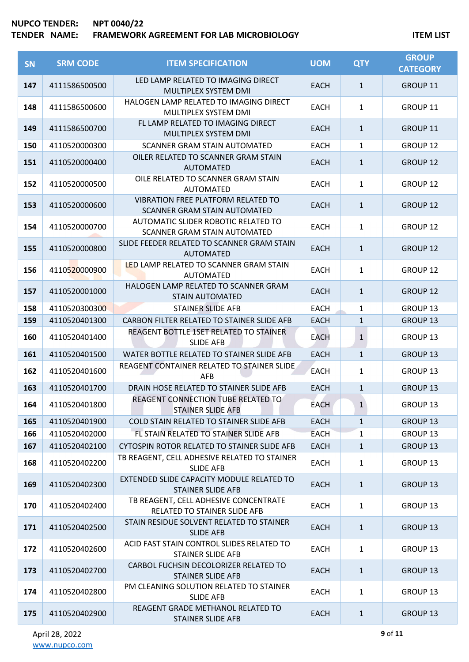| SN  | <b>SRM CODE</b> | <b>ITEM SPECIFICATION</b>                                                        | <b>UOM</b>  | <b>QTY</b>   | <b>GROUP</b><br><b>CATEGORY</b> |
|-----|-----------------|----------------------------------------------------------------------------------|-------------|--------------|---------------------------------|
| 147 | 4111586500500   | LED LAMP RELATED TO IMAGING DIRECT<br>MULTIPLEX SYSTEM DMI                       | <b>EACH</b> | $\mathbf{1}$ | GROUP 11                        |
| 148 | 4111586500600   | HALOGEN LAMP RELATED TO IMAGING DIRECT<br>MULTIPLEX SYSTEM DMI                   | <b>EACH</b> | $\mathbf{1}$ | GROUP 11                        |
| 149 | 4111586500700   | FL LAMP RELATED TO IMAGING DIRECT<br>MULTIPLEX SYSTEM DMI                        | <b>EACH</b> | $\mathbf{1}$ | <b>GROUP 11</b>                 |
| 150 | 4110520000300   | <b>SCANNER GRAM STAIN AUTOMATED</b>                                              | <b>EACH</b> | 1            | GROUP 12                        |
| 151 | 4110520000400   | OILER RELATED TO SCANNER GRAM STAIN<br><b>AUTOMATED</b>                          | <b>EACH</b> | $\mathbf{1}$ | <b>GROUP 12</b>                 |
| 152 | 4110520000500   | OILE RELATED TO SCANNER GRAM STAIN<br><b>AUTOMATED</b>                           | <b>EACH</b> | $\mathbf{1}$ | <b>GROUP 12</b>                 |
| 153 | 4110520000600   | <b>VIBRATION FREE PLATFORM RELATED TO</b><br><b>SCANNER GRAM STAIN AUTOMATED</b> | <b>EACH</b> | $\mathbf{1}$ | <b>GROUP 12</b>                 |
| 154 | 4110520000700   | AUTOMATIC SLIDER ROBOTIC RELATED TO<br><b>SCANNER GRAM STAIN AUTOMATED</b>       | <b>EACH</b> | $\mathbf{1}$ | <b>GROUP 12</b>                 |
| 155 | 4110520000800   | SLIDE FEEDER RELATED TO SCANNER GRAM STAIN<br><b>AUTOMATED</b>                   | <b>EACH</b> | $\mathbf{1}$ | <b>GROUP 12</b>                 |
| 156 | 4110520000900   | LED LAMP RELATED TO SCANNER GRAM STAIN<br><b>AUTOMATED</b>                       | <b>EACH</b> | $\mathbf{1}$ | <b>GROUP 12</b>                 |
| 157 | 4110520001000   | HALOGEN LAMP RELATED TO SCANNER GRAM<br><b>STAIN AUTOMATED</b>                   | <b>EACH</b> | $\mathbf{1}$ | <b>GROUP 12</b>                 |
| 158 | 4110520300300   | STAINER SLIDE AFB                                                                | <b>EACH</b> | 1            | GROUP 13                        |
| 159 | 4110520401300   | CARBON FILTER RELATED TO STAINER SLIDE AFB                                       | <b>EACH</b> | $\mathbf{1}$ | <b>GROUP 13</b>                 |
| 160 | 4110520401400   | REAGENT BOTTLE 1SET RELATED TO STAINER<br><b>SLIDE AFB</b>                       | <b>EACH</b> | $\mathbf{1}$ | GROUP 13                        |
| 161 | 4110520401500   | WATER BOTTLE RELATED TO STAINER SLIDE AFB                                        | <b>EACH</b> | $\mathbf{1}$ | <b>GROUP 13</b>                 |
| 162 | 4110520401600   | REAGENT CONTAINER RELATED TO STAINER SLIDE<br><b>AFB</b>                         | <b>EACH</b> | $\mathbf{1}$ | <b>GROUP 13</b>                 |
| 163 | 4110520401700   | DRAIN HOSE RELATED TO STAINER SLIDE AFB                                          | <b>EACH</b> | $\mathbf{1}$ | <b>GROUP 13</b>                 |
| 164 | 4110520401800   | <b>REAGENT CONNECTION TUBE RELATED TO</b><br><b>STAINER SLIDE AFB</b>            | <b>EACH</b> | $\mathbf 1$  | GROUP 13                        |
| 165 | 4110520401900   | COLD STAIN RELATED TO STAINER SLIDE AFB                                          | <b>EACH</b> | $\mathbf{1}$ | <b>GROUP 13</b>                 |
| 166 | 4110520402000   | FL STAIN RELATED TO STAINER SLIDE AFB                                            | <b>EACH</b> | $\mathbf{1}$ | GROUP 13                        |
| 167 | 4110520402100   | CYTOSPIN ROTOR RELATED TO STAINER SLIDE AFB                                      | <b>EACH</b> | $\mathbf{1}$ | GROUP 13                        |
| 168 | 4110520402200   | TB REAGENT, CELL ADHESIVE RELATED TO STAINER<br><b>SLIDE AFB</b>                 | <b>EACH</b> | $\mathbf{1}$ | <b>GROUP 13</b>                 |
| 169 | 4110520402300   | EXTENDED SLIDE CAPACITY MODULE RELATED TO<br><b>STAINER SLIDE AFB</b>            | <b>EACH</b> | $\mathbf{1}$ | <b>GROUP 13</b>                 |
| 170 | 4110520402400   | TB REAGENT, CELL ADHESIVE CONCENTRATE<br>RELATED TO STAINER SLIDE AFB            | <b>EACH</b> | $\mathbf{1}$ | GROUP 13                        |
| 171 | 4110520402500   | STAIN RESIDUE SOLVENT RELATED TO STAINER<br><b>SLIDE AFB</b>                     | <b>EACH</b> | $\mathbf{1}$ | <b>GROUP 13</b>                 |
| 172 | 4110520402600   | ACID FAST STAIN CONTROL SLIDES RELATED TO<br><b>STAINER SLIDE AFB</b>            | <b>EACH</b> | $\mathbf{1}$ | GROUP 13                        |
| 173 | 4110520402700   | CARBOL FUCHSIN DECOLORIZER RELATED TO<br><b>STAINER SLIDE AFB</b>                | <b>EACH</b> | $\mathbf{1}$ | <b>GROUP 13</b>                 |
| 174 | 4110520402800   | PM CLEANING SOLUTION RELATED TO STAINER<br><b>SLIDE AFB</b>                      | <b>EACH</b> | $\mathbf{1}$ | <b>GROUP 13</b>                 |
| 175 | 4110520402900   | REAGENT GRADE METHANOL RELATED TO<br><b>STAINER SLIDE AFB</b>                    | <b>EACH</b> | $\mathbf{1}$ | <b>GROUP 13</b>                 |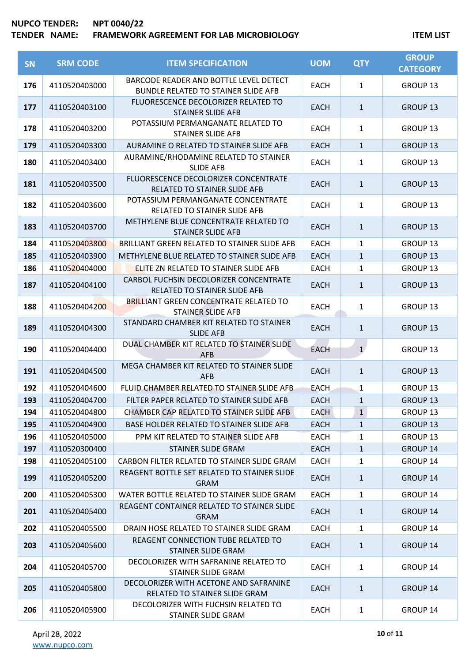| SN  | <b>SRM CODE</b> | <b>ITEM SPECIFICATION</b>                                                            | <b>UOM</b>  | <b>QTY</b>            | <b>GROUP</b><br><b>CATEGORY</b> |
|-----|-----------------|--------------------------------------------------------------------------------------|-------------|-----------------------|---------------------------------|
| 176 | 4110520403000   | BARCODE READER AND BOTTLE LEVEL DETECT<br><b>BUNDLE RELATED TO STAINER SLIDE AFB</b> | <b>EACH</b> | $\mathbf{1}$          | GROUP 13                        |
| 177 | 4110520403100   | FLUORESCENCE DECOLORIZER RELATED TO<br><b>STAINER SLIDE AFB</b>                      | <b>EACH</b> | $\mathbf{1}$          | GROUP <sub>13</sub>             |
| 178 | 4110520403200   | POTASSIUM PERMANGANATE RELATED TO<br><b>STAINER SLIDE AFB</b>                        | <b>EACH</b> | $\mathbf{1}$          | GROUP 13                        |
| 179 | 4110520403300   | AURAMINE O RELATED TO STAINER SLIDE AFB                                              | <b>EACH</b> | $\mathbf{1}$          | <b>GROUP 13</b>                 |
| 180 | 4110520403400   | AURAMINE/RHODAMINE RELATED TO STAINER<br><b>SLIDE AFB</b>                            | <b>EACH</b> | $\mathbf{1}$          | GROUP 13                        |
| 181 | 4110520403500   | FLUORESCENCE DECOLORIZER CONCENTRATE<br>RELATED TO STAINER SLIDE AFB                 | <b>EACH</b> | $\mathbf{1}$          | GROUP <sub>13</sub>             |
| 182 | 4110520403600   | POTASSIUM PERMANGANATE CONCENTRATE<br><b>RELATED TO STAINER SLIDE AFB</b>            | <b>EACH</b> | $\mathbf{1}$          | <b>GROUP 13</b>                 |
| 183 | 4110520403700   | METHYLENE BLUE CONCENTRATE RELATED TO<br><b>STAINER SLIDE AFB</b>                    | <b>EACH</b> | $\mathbf{1}$          | <b>GROUP 13</b>                 |
| 184 | 4110520403800   | BRILLIANT GREEN RELATED TO STAINER SLIDE AFB                                         | <b>EACH</b> | $\mathbf{1}$          | GROUP <sub>13</sub>             |
| 185 | 4110520403900   | METHYLENE BLUE RELATED TO STAINER SLIDE AFB                                          | <b>EACH</b> | $\mathbf{1}$          | GROUP 13                        |
| 186 | 4110520404000   | <b>ELITE ZN RELATED TO STAINER SLIDE AFB</b>                                         | <b>EACH</b> | $\mathbf{1}$          | GROUP 13                        |
| 187 | 4110520404100   | CARBOL FUCHSIN DECOLORIZER CONCENTRATE<br>RELATED TO STAINER SLIDE AFB               | <b>EACH</b> | $\mathbf{1}$          | <b>GROUP 13</b>                 |
| 188 | 4110520404200   | <b>BRILLIANT GREEN CONCENTRATE RELATED TO</b><br><b>STAINER SLIDE AFB</b>            | <b>EACH</b> | $\mathbf{1}$          | <b>GROUP 13</b>                 |
| 189 | 4110520404300   | STANDARD CHAMBER KIT RELATED TO STAINER<br><b>SLIDE AFB</b>                          | <b>EACH</b> | $\mathbf{1}$          | <b>GROUP 13</b>                 |
| 190 | 4110520404400   | DUAL CHAMBER KIT RELATED TO STAINER SLIDE<br><b>AFB</b>                              | <b>EACH</b> | $\mathbf{1}^{\prime}$ | GROUP 13                        |
| 191 | 4110520404500   | MEGA CHAMBER KIT RELATED TO STAINER SLIDE<br><b>AFB</b>                              | <b>EACH</b> | $\mathbf{1}$          | <b>GROUP 13</b>                 |
| 192 | 4110520404600   | FLUID CHAMBER RELATED TO STAINER SLIDE AFB                                           | <b>EACH</b> | $\mathbf{1}$          | <b>GROUP 13</b>                 |
| 193 | 4110520404700   | FILTER PAPER RELATED TO STAINER SLIDE AFB                                            | <b>EACH</b> | $\mathbf{1}$          | <b>GROUP 13</b>                 |
| 194 | 4110520404800   | CHAMBER CAP RELATED TO STAINER SLIDE AFB                                             | <b>EACH</b> | $\mathbf{1}$          | GROUP 13                        |
| 195 | 4110520404900   | BASE HOLDER RELATED TO STAINER SLIDE AFB                                             | <b>EACH</b> | $\mathbf{1}$          | <b>GROUP 13</b>                 |
| 196 | 4110520405000   | PPM KIT RELATED TO STAINER SLIDE AFB                                                 | <b>EACH</b> | 1                     | GROUP <sub>13</sub>             |
| 197 | 4110520300400   | STAINER SLIDE GRAM                                                                   | <b>EACH</b> | $\mathbf{1}$          | GROUP 14                        |
| 198 | 4110520405100   | CARBON FILTER RELATED TO STAINER SLIDE GRAM                                          | <b>EACH</b> | 1                     | GROUP 14                        |
| 199 | 4110520405200   | REAGENT BOTTLE SET RELATED TO STAINER SLIDE<br><b>GRAM</b>                           | <b>EACH</b> | $\mathbf{1}$          | GROUP 14                        |
| 200 | 4110520405300   | WATER BOTTLE RELATED TO STAINER SLIDE GRAM                                           | <b>EACH</b> | $\mathbf{1}$          | GROUP 14                        |
| 201 | 4110520405400   | REAGENT CONTAINER RELATED TO STAINER SLIDE<br><b>GRAM</b>                            | <b>EACH</b> | $\mathbf{1}$          | GROUP 14                        |
| 202 | 4110520405500   | DRAIN HOSE RELATED TO STAINER SLIDE GRAM                                             | <b>EACH</b> | $\mathbf{1}$          | GROUP 14                        |
| 203 | 4110520405600   | REAGENT CONNECTION TUBE RELATED TO<br>STAINER SLIDE GRAM                             | EACH        | $\mathbf{1}$          | GROUP 14                        |
| 204 | 4110520405700   | DECOLORIZER WITH SAFRANINE RELATED TO<br>STAINER SLIDE GRAM                          | <b>EACH</b> | $\mathbf{1}$          | GROUP 14                        |
| 205 | 4110520405800   | DECOLORIZER WITH ACETONE AND SAFRANINE<br>RELATED TO STAINER SLIDE GRAM              | EACH        | $\mathbf{1}$          | GROUP 14                        |
| 206 | 4110520405900   | DECOLORIZER WITH FUCHSIN RELATED TO<br>STAINER SLIDE GRAM                            | <b>EACH</b> | $\mathbf{1}$          | GROUP 14                        |